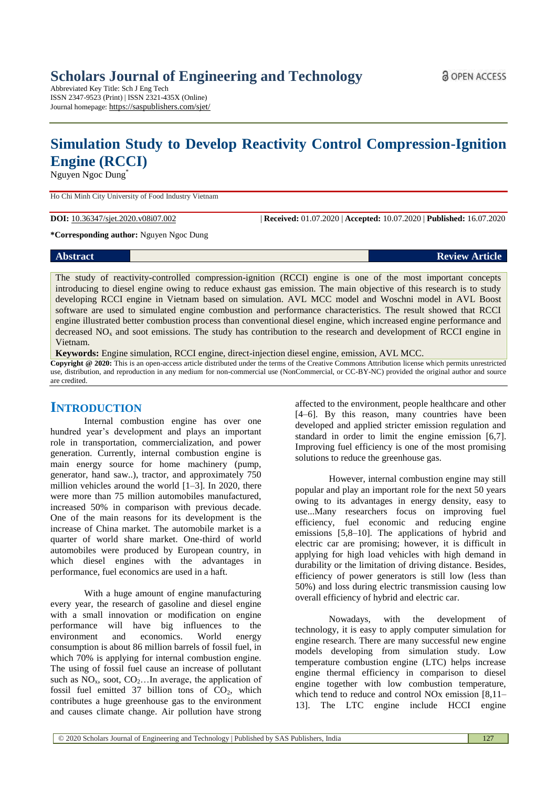Abbreviated Key Title: Sch J Eng Tech ISSN 2347-9523 (Print) | ISSN 2321-435X (Online) Journal homepage: https://saspublishers.com/sjet/

# **Simulation Study to Develop Reactivity Control Compression-Ignition Engine (RCCI)**

Nguyen Ngoc Dung\*

Ho Chi Minh City University of Food Industry Vietnam

**DOI:** 10.36347/sjet.2020.v08i07.002 | **Received:** 01.07.2020 | **Accepted:** 10.07.2020 | **Published:** 16.07.2020

**\*Corresponding author:** Nguyen Ngoc Dung

| <b>Abstract</b> | <b>Review Article</b> |
|-----------------|-----------------------|
|                 |                       |

The study of reactivity-controlled compression-ignition (RCCI) engine is one of the most important concepts introducing to diesel engine owing to reduce exhaust gas emission. The main objective of this research is to study developing RCCI engine in Vietnam based on simulation. AVL MCC model and Woschni model in AVL Boost software are used to simulated engine combustion and performance characteristics. The result showed that RCCI engine illustrated better combustion process than conventional diesel engine, which increased engine performance and decreased  $NO<sub>x</sub>$  and soot emissions. The study has contribution to the research and development of RCCI engine in Vietnam.

**Keywords:** Engine simulation, RCCI engine, direct-injection diesel engine, emission, AVL MCC. **Copyright @ 2020:** This is an open-access article distributed under the terms of the Creative Commons Attribution license which permits unrestricted use, distribution, and reproduction in any medium for non-commercial use (NonCommercial, or CC-BY-NC) provided the original author and source are credited.

## **INTRODUCTION**

Internal combustion engine has over one hundred year's development and plays an important role in transportation, commercialization, and power generation. Currently, internal combustion engine is main energy source for home machinery (pump, generator, hand saw..), tractor, and approximately 750 million vehicles around the world [1–3]. In 2020, there were more than 75 million automobiles manufactured, increased 50% in comparison with previous decade. One of the main reasons for its development is the increase of China market. The automobile market is a quarter of world share market. One-third of world automobiles were produced by European country, in which diesel engines with the advantages in performance, fuel economics are used in a haft.

With a huge amount of engine manufacturing every year, the research of gasoline and diesel engine with a small innovation or modification on engine performance will have big influences to the environment and economics. World energy consumption is about 86 million barrels of fossil fuel, in which 70% is applying for internal combustion engine. The using of fossil fuel cause an increase of pollutant such as  $NO_x$ , soot,  $CO_2$ ... In average, the application of fossil fuel emitted 37 billion tons of  $CO<sub>2</sub>$ , which contributes a huge greenhouse gas to the environment and causes climate change. Air pollution have strong affected to the environment, people healthcare and other [4–6]. By this reason, many countries have been developed and applied stricter emission regulation and standard in order to limit the engine emission [6,7]. Improving fuel efficiency is one of the most promising solutions to reduce the greenhouse gas.

However, internal combustion engine may still popular and play an important role for the next 50 years owing to its advantages in energy density, easy to use...Many researchers focus on improving fuel efficiency, fuel economic and reducing engine emissions [5,8–10]. The applications of hybrid and electric car are promising; however, it is difficult in applying for high load vehicles with high demand in durability or the limitation of driving distance. Besides, efficiency of power generators is still low (less than 50%) and loss during electric transmission causing low overall efficiency of hybrid and electric car.

Nowadays, with the development of technology, it is easy to apply computer simulation for engine research. There are many successful new engine models developing from simulation study. Low temperature combustion engine (LTC) helps increase engine thermal efficiency in comparison to diesel engine together with low combustion temperature, which tend to reduce and control NO<sub>x</sub> emission [8,11– 13]. The LTC engine include HCCI engine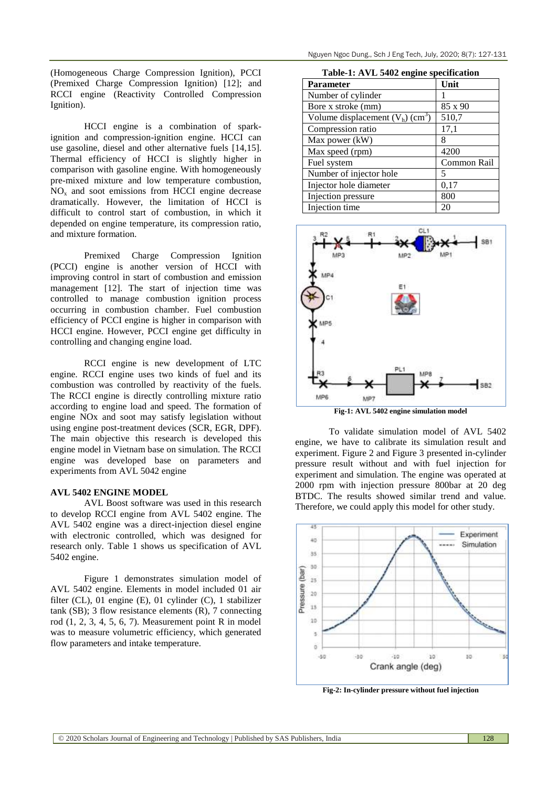Nguyen Ngoc Dung., Sch J Eng Tech, July, 2020; 8(7): 127-131

(Homogeneous Charge Compression Ignition), PCCI (Premixed Charge Compression Ignition) [12]; and RCCI engine (Reactivity Controlled Compression Ignition).

HCCI engine is a combination of sparkignition and compression-ignition engine. HCCI can use gasoline, diesel and other alternative fuels [14,15]. Thermal efficiency of HCCI is slightly higher in comparison with gasoline engine. With homogeneously pre-mixed mixture and low temperature combustion,  $NO<sub>x</sub>$  and soot emissions from HCCI engine decrease dramatically. However, the limitation of HCCI is difficult to control start of combustion, in which it depended on engine temperature, its compression ratio, and mixture formation.

Premixed Charge Compression Ignition (PCCI) engine is another version of HCCI with improving control in start of combustion and emission management [12]. The start of injection time was controlled to manage combustion ignition process occurring in combustion chamber. Fuel combustion efficiency of PCCI engine is higher in comparison with HCCI engine. However, PCCI engine get difficulty in controlling and changing engine load.

RCCI engine is new development of LTC engine. RCCI engine uses two kinds of fuel and its combustion was controlled by reactivity of the fuels. The RCCI engine is directly controlling mixture ratio according to engine load and speed. The formation of engine NOx and soot may satisfy legislation without using engine post-treatment devices (SCR, EGR, DPF). The main objective this research is developed this engine model in Vietnam base on simulation. The RCCI engine was developed base on parameters and experiments from AVL 5042 engine

#### **AVL 5402 ENGINE MODEL**

AVL Boost software was used in this research to develop RCCI engine from AVL 5402 engine. The AVL 5402 engine was a direct-injection diesel engine with electronic controlled, which was designed for research only. Table 1 shows us specification of AVL 5402 engine.

Figure 1 demonstrates simulation model of AVL 5402 engine. Elements in model included 01 air filter (CL), 01 engine (E), 01 cylinder (C), 1 stabilizer tank (SB); 3 flow resistance elements (R), 7 connecting rod (1, 2, 3, 4, 5, 6, 7). Measurement point R in model was to measure volumetric efficiency, which generated flow parameters and intake temperature.

| Table-1: AVL 5402 engine specification |  |  |
|----------------------------------------|--|--|
|----------------------------------------|--|--|

| <b>Parameter</b>                               | Unit        |
|------------------------------------------------|-------------|
| Number of cylinder                             |             |
| Bore x stroke (mm)                             | 85 x 90     |
| Volume displacement $(V_h)$ (cm <sup>3</sup> ) | 510,7       |
| Compression ratio                              | 17,1        |
| Max power (kW)                                 | 8           |
| Max speed (rpm)                                | 4200        |
| Fuel system                                    | Common Rail |
| Number of injector hole                        | 5           |
| Injector hole diameter                         | 0,17        |
| Injection pressure                             | 800         |
| Injection time                                 | 20          |



**Fig-1: AVL 5402 engine simulation model**

To validate simulation model of AVL 5402 engine, we have to calibrate its simulation result and experiment. Figure 2 and Figure 3 presented in-cylinder pressure result without and with fuel injection for experiment and simulation. The engine was operated at 2000 rpm with injection pressure 800bar at 20 deg BTDC. The results showed similar trend and value. Therefore, we could apply this model for other study.



**Fig-2: In-cylinder pressure without fuel injection**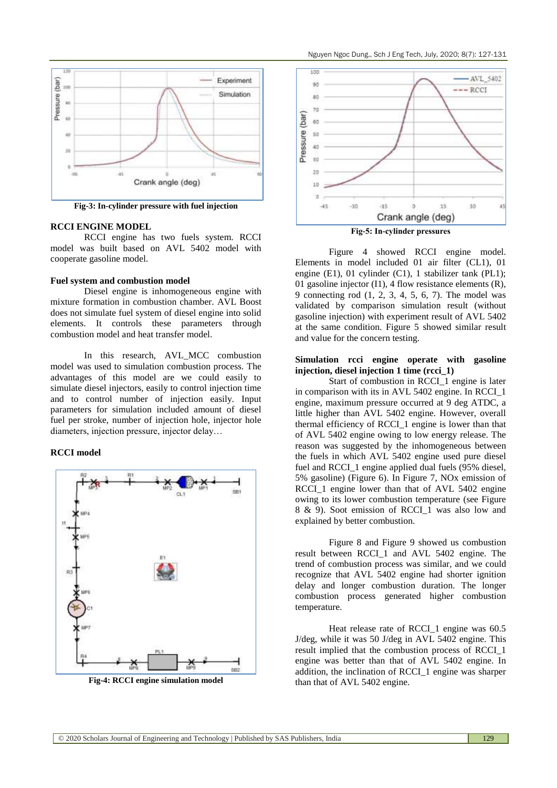

**Fig-3: In-cylinder pressure with fuel injection**

#### **RCCI ENGINE MODEL**

RCCI engine has two fuels system. RCCI model was built based on AVL 5402 model with cooperate gasoline model.

#### **Fuel system and combustion model**

Diesel engine is inhomogeneous engine with mixture formation in combustion chamber. AVL Boost does not simulate fuel system of diesel engine into solid elements. It controls these parameters through combustion model and heat transfer model.

In this research, AVL\_MCC combustion model was used to simulation combustion process. The advantages of this model are we could easily to simulate diesel injectors, easily to control injection time and to control number of injection easily. Input parameters for simulation included amount of diesel fuel per stroke, number of injection hole, injector hole diameters, injection pressure, injector delay…

#### **RCCI model**



**Fig-4: RCCI engine simulation model**



**Fig-5: In-cylinder pressures**

Figure 4 showed RCCI engine model. Elements in model included 01 air filter (CL1), 01 engine (E1), 01 cylinder (C1), 1 stabilizer tank (PL1); 01 gasoline injector (I1), 4 flow resistance elements (R), 9 connecting rod (1, 2, 3, 4, 5, 6, 7). The model was validated by comparison simulation result (without gasoline injection) with experiment result of AVL 5402 at the same condition. Figure 5 showed similar result and value for the concern testing.

#### **Simulation rcci engine operate with gasoline injection, diesel injection 1 time (rcci\_1)**

Start of combustion in RCCI\_1 engine is later in comparison with its in AVL 5402 engine. In RCCI\_1 engine, maximum pressure occurred at 9 deg ATDC, a little higher than AVL 5402 engine. However, overall thermal efficiency of RCCI\_1 engine is lower than that of AVL 5402 engine owing to low energy release. The reason was suggested by the inhomogeneous between the fuels in which AVL 5402 engine used pure diesel fuel and RCCI 1 engine applied dual fuels (95% diesel, 5% gasoline) (Figure 6). In Figure 7, NOx emission of RCCI 1 engine lower than that of AVL 5402 engine owing to its lower combustion temperature (see Figure 8 & 9). Soot emission of RCCI\_1 was also low and explained by better combustion.

Figure 8 and Figure 9 showed us combustion result between RCCI\_1 and AVL 5402 engine. The trend of combustion process was similar, and we could recognize that AVL 5402 engine had shorter ignition delay and longer combustion duration. The longer combustion process generated higher combustion temperature.

Heat release rate of RCCI\_1 engine was 60.5 J/deg, while it was 50 J/deg in AVL 5402 engine. This result implied that the combustion process of RCCI\_1 engine was better than that of AVL 5402 engine. In addition, the inclination of RCCI\_1 engine was sharper than that of AVL 5402 engine.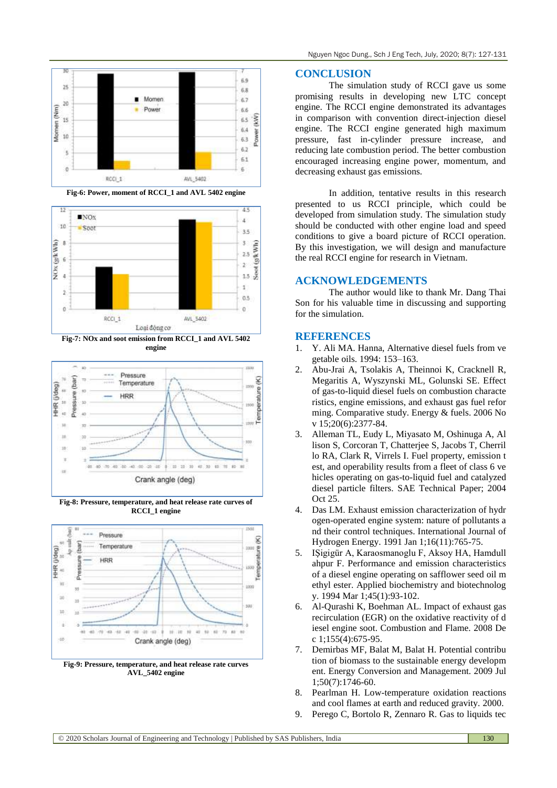

**Fig-6: Power, moment of RCCI\_1 and AVL 5402 engine**



**Fig-7: NOx and soot emission from RCCI\_1 and AVL 5402 engine**



**Fig-8: Pressure, temperature, and heat release rate curves of RCCI\_1 engine**



**Fig-9: Pressure, temperature, and heat release rate curves AVL\_5402 engine**

#### **CONCLUSION**

The simulation study of RCCI gave us some promising results in developing new LTC concept engine. The RCCI engine demonstrated its advantages in comparison with convention direct-injection diesel engine. The RCCI engine generated high maximum pressure, fast in-cylinder pressure increase, and reducing late combustion period. The better combustion encouraged increasing engine power, momentum, and decreasing exhaust gas emissions.

In addition, tentative results in this research presented to us RCCI principle, which could be developed from simulation study. The simulation study should be conducted with other engine load and speed conditions to give a board picture of RCCI operation. By this investigation, we will design and manufacture the real RCCI engine for research in Vietnam.

#### **ACKNOWLEDGEMENTS**

The author would like to thank Mr. Dang Thai Son for his valuable time in discussing and supporting for the simulation.

### **REFERENCES**

- 1. Y. Ali MA. Hanna, Alternative diesel fuels from ve getable oils. 1994: 153–163.
- 2. Abu-Jrai A, Tsolakis A, Theinnoi K, Cracknell R, Megaritis A, Wyszynski ML, Golunski SE. Effect of gas-to-liquid diesel fuels on combustion characte ristics, engine emissions, and exhaust gas fuel refor ming. Comparative study. Energy & fuels. 2006 No v 15;20(6):2377-84.
- 3. Alleman TL, Eudy L, Miyasato M, Oshinuga A, Al lison S, Corcoran T, Chatterjee S, Jacobs T, Cherril lo RA, Clark R, Virrels I. Fuel property, emission t est, and operability results from a fleet of class 6 ve hicles operating on gas-to-liquid fuel and catalyzed diesel particle filters. SAE Technical Paper; 2004 Oct 25.
- 4. Das LM. Exhaust emission characterization of hydr ogen-operated engine system: nature of pollutants a nd their control techniques. International Journal of Hydrogen Energy. 1991 Jan 1;16(11):765-75.
- 5. IŞigigür A, Karaosmanoglu F, Aksoy HA, Hamdull ahpur F. Performance and emission characteristics of a diesel engine operating on safflower seed oil m ethyl ester. Applied biochemistry and biotechnolog y. 1994 Mar 1;45(1):93-102.
- 6. Al-Qurashi K, Boehman AL. Impact of exhaust gas recirculation (EGR) on the oxidative reactivity of d iesel engine soot. Combustion and Flame. 2008 De c 1;155(4):675-95.
- 7. Demirbas MF, Balat M, Balat H. Potential contribu tion of biomass to the sustainable energy developm ent. Energy Conversion and Management. 2009 Jul 1;50(7):1746-60.
- 8. Pearlman H. Low-temperature oxidation reactions and cool flames at earth and reduced gravity. 2000.
- 9. Perego C, Bortolo R, Zennaro R. Gas to liquids tec